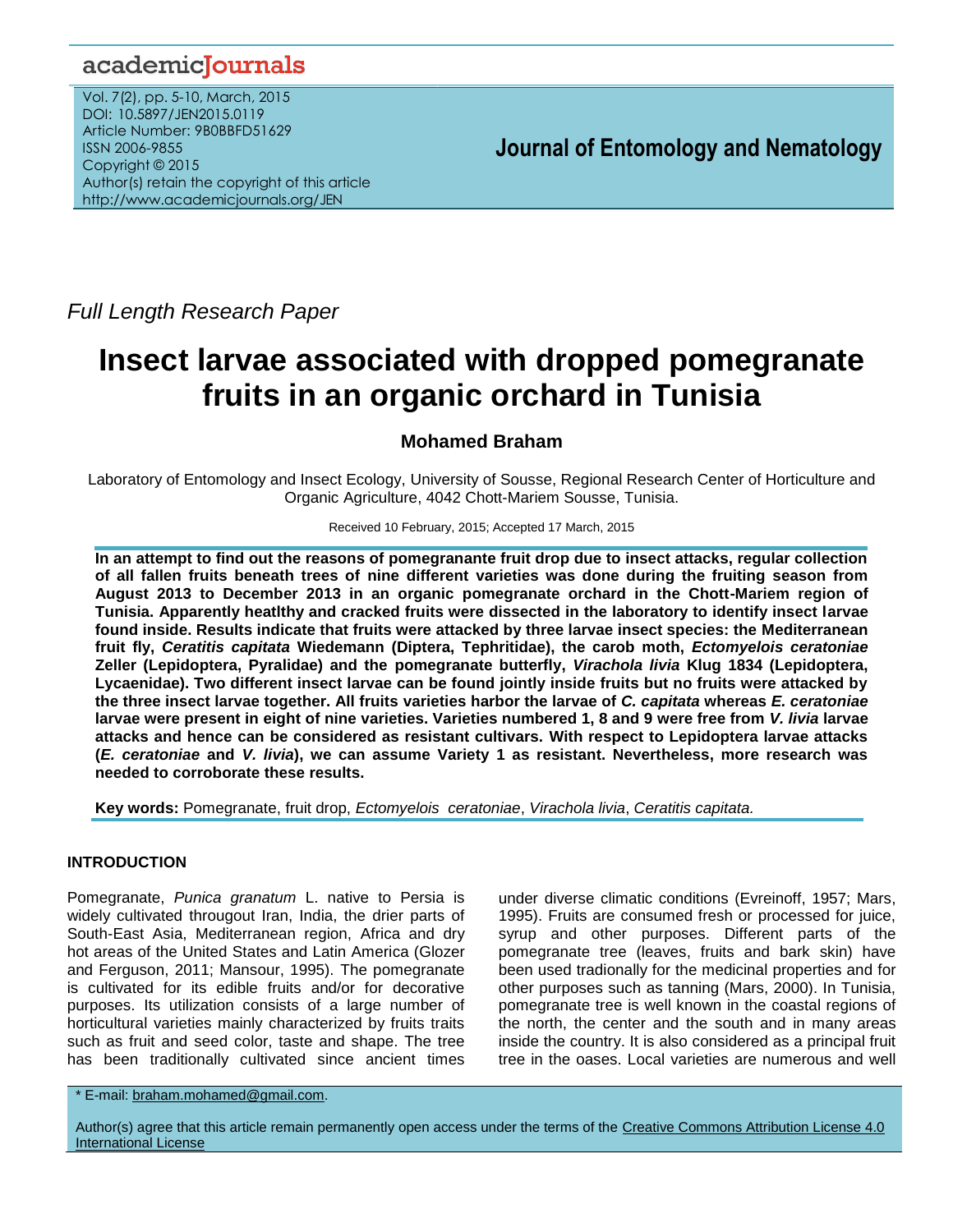# academicJournals

Vol. 7(2), pp. 5-10, March, 2015 DOI: 10.5897/JEN2015.0119 Article Number: 9B0BBFD51629 ISSN 2006-9855 Copyright © 2015 Author(s) retain the copyright of this article http://www.academicjournals.org/JEN

 **Journal of Entomology and Nematology**

*Full Length Research Paper*

# **Insect larvae associated with dropped pomegranate fruits in an organic orchard in Tunisia**

# **Mohamed Braham**

Laboratory of Entomology and Insect Ecology, University of Sousse, Regional Research Center of Horticulture and Organic Agriculture, 4042 Chott-Mariem Sousse, Tunisia.

## Received 10 February, 2015; Accepted 17 March, 2015

**In an attempt to find out the reasons of pomegranante fruit drop due to insect attacks, regular collection of all fallen fruits beneath trees of nine different varieties was done during the fruiting season from August 2013 to December 2013 in an organic pomegranate orchard in the Chott-Mariem region of Tunisia. Apparently heatlthy and cracked fruits were dissected in the laboratory to identify insect larvae found inside. Results indicate that fruits were attacked by three larvae insect species: the Mediterranean fruit fly,** *Ceratitis capitata* **Wiedemann (Diptera, Tephritidae), the carob moth,** *Ectomyelois ceratoniae* **Zeller (Lepidoptera, Pyralidae) and the pomegranate butterfly,** *Virachola livia* **Klug 1834 (Lepidoptera, Lycaenidae). Two different insect larvae can be found jointly inside fruits but no fruits were attacked by the three insect larvae together. All fruits varieties harbor the larvae of** *C. capitata* **whereas** *E. ceratoniae* **larvae were present in eight of nine varieties. Varieties numbered 1, 8 and 9 were free from** *V. livia* **larvae attacks and hence can be considered as resistant cultivars. With respect to Lepidoptera larvae attacks (***E. ceratoniae* **and** *V. livia***), we can assume Variety 1 as resistant. Nevertheless, more research was needed to corroborate these results.**

**Key words:** Pomegranate, fruit drop, *Ectomyelois ceratoniae*, *Virachola livia*, *Ceratitis capitata.*

# **INTRODUCTION**

Pomegranate, *Punica granatum* L. native to Persia is widely cultivated througout Iran, India, the drier parts of South-East Asia, Mediterranean region, Africa and dry hot areas of the United States and Latin America (Glozer and Ferguson, 2011; Mansour, 1995). The pomegranate is cultivated for its edible fruits and/or for decorative purposes. Its utilization consists of a large number of horticultural varieties mainly characterized by fruits traits such as fruit and seed color, taste and shape. The tree has been traditionally cultivated since ancient times under diverse climatic conditions (Evreinoff, 1957; Mars, 1995). Fruits are consumed fresh or processed for juice, syrup and other purposes. Different parts of the pomegranate tree (leaves, fruits and bark skin) have been used tradionally for the medicinal properties and for other purposes such as tanning (Mars, 2000). In Tunisia, pomegranate tree is well known in the coastal regions of the north, the center and the south and in many areas inside the country. It is also considered as a principal fruit tree in the oases. Local varieties are numerous and well

\* E-mail: [braham.mohamed@gmail.com.](mailto:braham.mohamed@gmail.com)

Author(s) agree that this article remain permanently open access under the terms of the Creative Commons Attribution License 4.0 [International License](http://creativecommons.org/licenses/by/4.0/deed.en_US)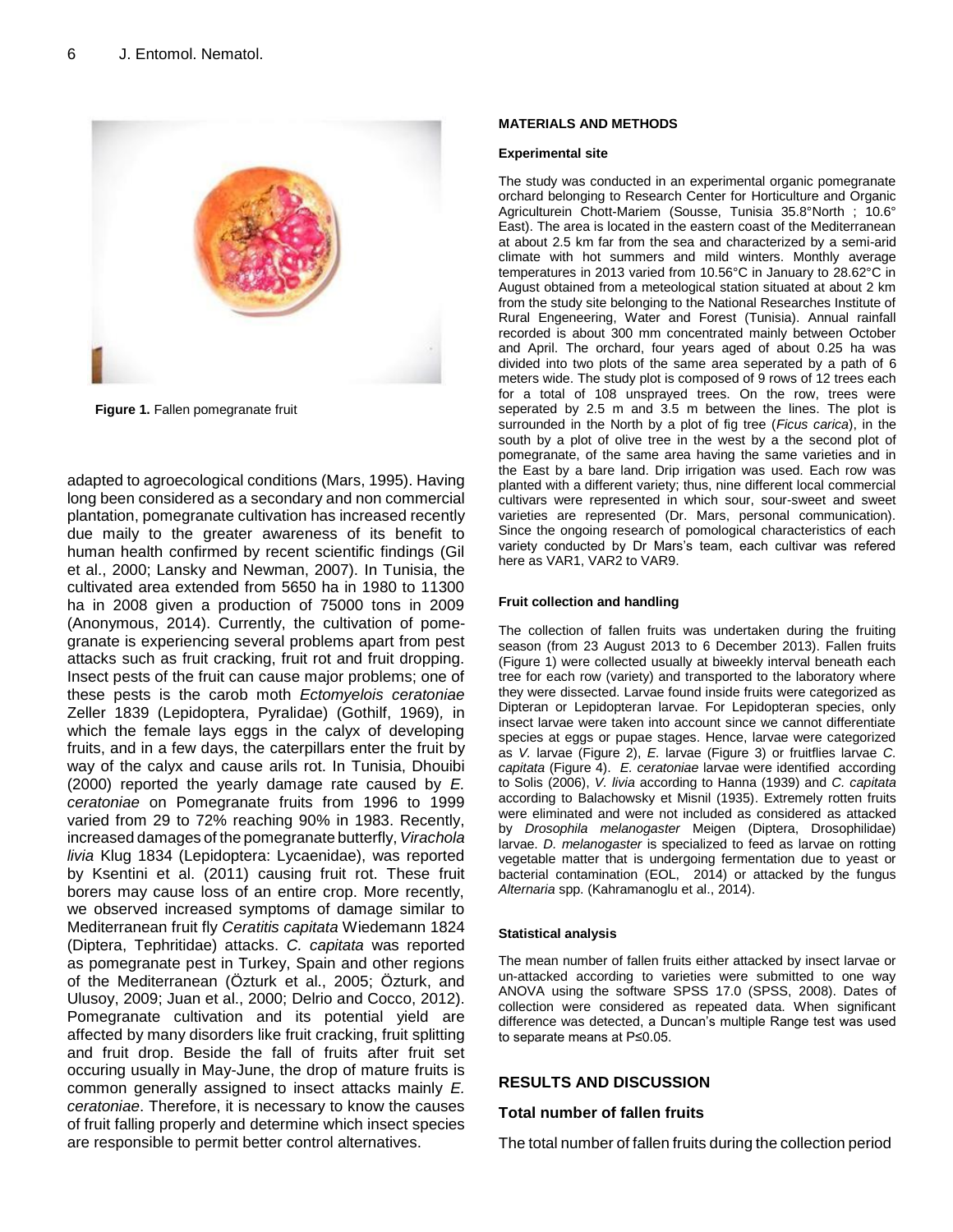

**Figure 1.** Fallen pomegranate fruit

adapted to agroecological conditions (Mars, 1995). Having long been considered as a secondary and non commercial plantation, pomegranate cultivation has increased recently due maily to the greater awareness of its benefit to human health confirmed by recent scientific findings (Gil et al., 2000; Lansky and Newman, 2007). In Tunisia, the cultivated area extended from 5650 ha in 1980 to 11300 ha in 2008 given a production of 75000 tons in 2009 (Anonymous, 2014). Currently, the cultivation of pomegranate is experiencing several problems apart from pest attacks such as fruit cracking, fruit rot and fruit dropping. Insect pests of the fruit can cause major problems; one of these pests is the carob moth *Ectomyelois ceratoniae*  Zeller 1839 (Lepidoptera, Pyralidae) (Gothilf, 1969)*,* in which the female lays eggs in the calyx of developing fruits, and in a few days, the caterpillars enter the fruit by way of the calyx and cause arils rot. In Tunisia, Dhouibi (2000) reported the yearly damage rate caused by *E. ceratoniae* on Pomegranate fruits from 1996 to 1999 varied from 29 to 72% reaching 90% in 1983. Recently, increased damages of the pomegranate butterfly, *Virachola livia* Klug 1834 (Lepidoptera: Lycaenidae), was reported by Ksentini et al. (2011) causing fruit rot. These fruit borers may cause loss of an entire crop. More recently, we observed increased symptoms of damage similar to Mediterranean fruit fly *Ceratitis capitata* Wiedemann 1824 (Diptera, Tephritidae) attacks. *C. capitata* was reported as pomegranate pest in Turkey, Spain and other regions of the Mediterranean (Özturk et al., 2005; Özturk, and Ulusoy, 2009; Juan et al., 2000; Delrio and Cocco, 2012). Pomegranate cultivation and its potential yield are affected by many disorders like fruit cracking, fruit splitting and fruit drop. Beside the fall of fruits after fruit set occuring usually in May-June, the drop of mature fruits is common generally assigned to insect attacks mainly *E. ceratoniae*. Therefore, it is necessary to know the causes of fruit falling properly and determine which insect species are responsible to permit better control alternatives.

#### **MATERIALS AND METHODS**

#### **Experimental site**

The study was conducted in an experimental organic pomegranate orchard belonging to Research Center for Horticulture and Organic Agriculturein Chott-Mariem (Sousse, Tunisia 35.8°North ; 10.6° East). The area is located in the eastern coast of the Mediterranean at about 2.5 km far from the sea and characterized by a semi-arid climate with hot summers and mild winters. Monthly average temperatures in 2013 varied from 10.56°C in January to 28.62°C in August obtained from a meteological station situated at about 2 km from the study site belonging to the National Researches Institute of Rural Engeneering, Water and Forest (Tunisia). Annual rainfall recorded is about 300 mm concentrated mainly between October and April. The orchard, four years aged of about 0.25 ha was divided into two plots of the same area seperated by a path of 6 meters wide. The study plot is composed of 9 rows of 12 trees each for a total of 108 unsprayed trees. On the row, trees were seperated by 2.5 m and 3.5 m between the lines. The plot is surrounded in the North by a plot of fig tree (*Ficus carica*), in the south by a plot of olive tree in the west by a the second plot of pomegranate, of the same area having the same varieties and in the East by a bare land. Drip irrigation was used. Each row was planted with a different variety; thus, nine different local commercial cultivars were represented in which sour, sour-sweet and sweet varieties are represented (Dr. Mars, personal communication). Since the ongoing research of pomological characteristics of each variety conducted by Dr Mars's team, each cultivar was refered here as VAR1, VAR2 to VAR9.

#### **Fruit collection and handling**

The collection of fallen fruits was undertaken during the fruiting season (from 23 August 2013 to 6 December 2013). Fallen fruits (Figure 1) were collected usually at biweekly interval beneath each tree for each row (variety) and transported to the laboratory where they were dissected. Larvae found inside fruits were categorized as Dipteran or Lepidopteran larvae. For Lepidopteran species, only insect larvae were taken into account since we cannot differentiate species at eggs or pupae stages. Hence, larvae were categorized as *V.* larvae (Figure 2), *E.* larvae (Figure 3) or fruitflies larvae *C. capitata* (Figure 4). *E. ceratoniae* larvae were identified according to Solis (2006), *V. livia* according to Hanna (1939) and *C. capitata* according to Balachowsky et Misnil (1935). Extremely rotten fruits were eliminated and were not included as considered as attacked by *Drosophila melanogaster* Meigen (Diptera, Drosophilidae) larvae. *D. melanogaster* is specialized to feed as larvae on rotting vegetable matter that is undergoing fermentation due to yeast or bacterial contamination (EOL, 2014) or attacked by the fungus *Alternaria* spp. (Kahramanoglu et al., 2014).

#### **Statistical analysis**

The mean number of fallen fruits either attacked by insect larvae or un-attacked according to varieties were submitted to one way ANOVA using the software SPSS 17.0 (SPSS, 2008). Dates of collection were considered as repeated data. When significant difference was detected, a Duncan's multiple Range test was used to separate means at P≤0.05.

#### **RESULTS AND DISCUSSION**

#### **Total number of fallen fruits**

The total number of fallen fruits during the collection period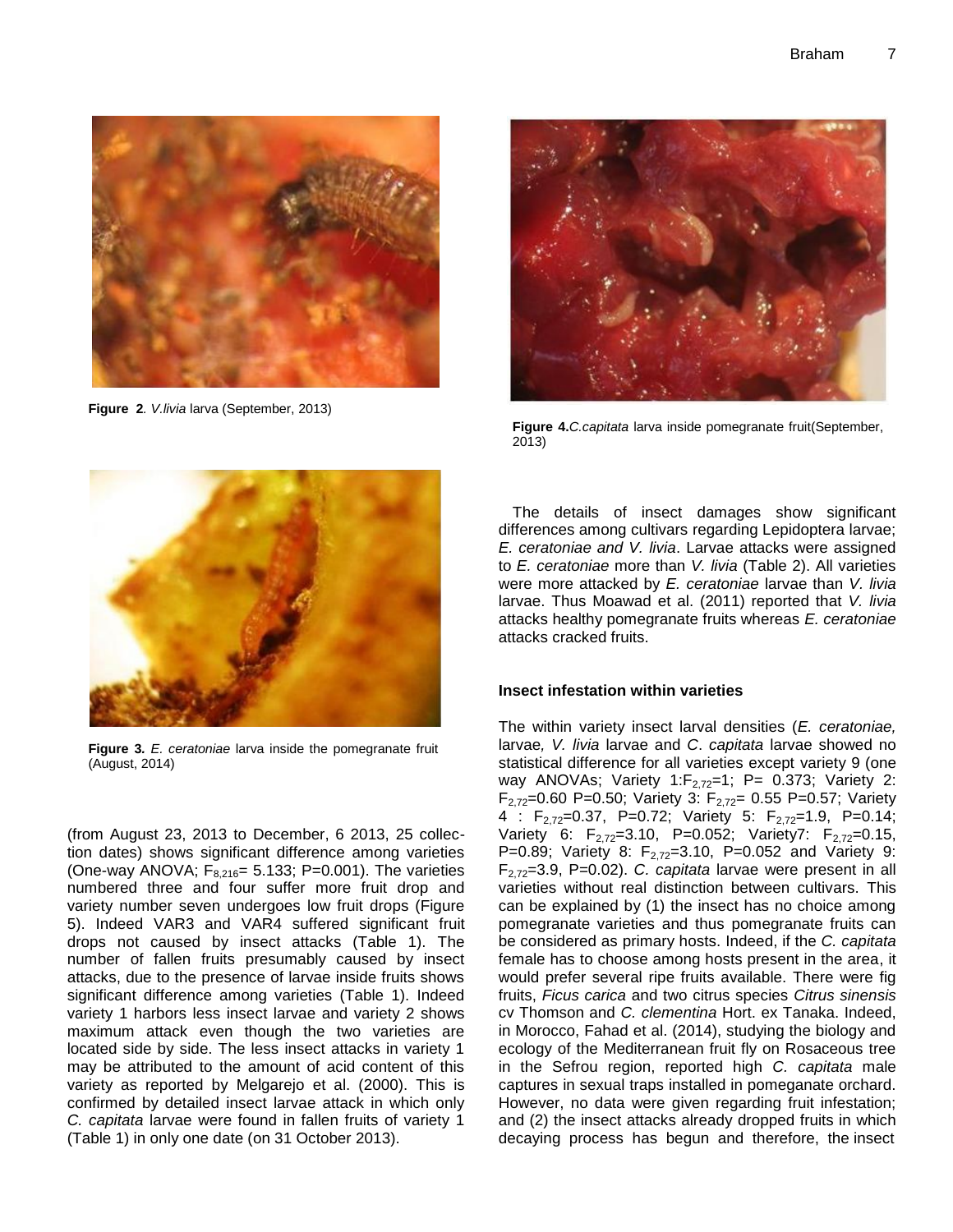

**Figure 2***. V.livia* larva (September, 2013)



**Figure 4.***C.capitata* larva inside pomegranate fruit(September, 2013)



**Figure 3***. E. ceratoniae* larva inside the pomegranate fruit (August, 2014)

(from August 23, 2013 to December, 6 2013, 25 collection dates) shows significant difference among varieties (One-way ANOVA;  $F_{8,216}$ = 5.133; P=0.001). The varieties numbered three and four suffer more fruit drop and variety number seven undergoes low fruit drops (Figure 5). Indeed VAR3 and VAR4 suffered significant fruit drops not caused by insect attacks (Table 1). The number of fallen fruits presumably caused by insect attacks, due to the presence of larvae inside fruits shows significant difference among varieties (Table 1). Indeed variety 1 harbors less insect larvae and variety 2 shows maximum attack even though the two varieties are located side by side. The less insect attacks in variety 1 may be attributed to the amount of acid content of this variety as reported by Melgarejo et al. (2000). This is confirmed by detailed insect larvae attack in which only *C. capitata* larvae were found in fallen fruits of variety 1 (Table 1) in only one date (on 31 October 2013).

The details of insect damages show significant differences among cultivars regarding Lepidoptera larvae; *E. ceratoniae and V. livia*. Larvae attacks were assigned to *E. ceratoniae* more than *V. livia* (Table 2). All varieties were more attacked by *E. ceratoniae* larvae than *V. livia* larvae. Thus Moawad et al. (2011) reported that *V. livia* attacks healthy pomegranate fruits whereas *E. ceratoniae* attacks cracked fruits.

# **Insect infestation within varieties**

The within variety insect larval densities (*E. ceratoniae,*  larvae*, V. livia* larvae and *C*. *capitata* larvae showed no statistical difference for all varieties except variety 9 (one way ANOVAs; Variety 1: $F_{2.72}=1$ ; P= 0.373; Variety 2:  $F_{2.72}=0.60$  P=0.50; Variety 3:  $F_{2.72}=0.55$  P=0.57; Variety 4 :  $F_{2,72}=0.37$ , P=0.72; Variety 5:  $F_{2,72}=1.9$ , P=0.14; Variety 6:  $F_{2,72}=3.10$ , P=0.052; Variety7:  $F_{2,72}=0.15$ , P=0.89; Variety 8:  $F_{2,72}$ =3.10, P=0.052 and Variety 9: F2,72=3.9, P=0.02). *C. capitata* larvae were present in all varieties without real distinction between cultivars. This can be explained by (1) the insect has no choice among pomegranate varieties and thus pomegranate fruits can be considered as primary hosts. Indeed, if the *C. capitata* female has to choose among hosts present in the area, it would prefer several ripe fruits available. There were fig fruits, *Ficus carica* and two citrus species *Citrus sinensis* cv Thomson and *C. clementina* Hort. ex Tanaka. Indeed, in Morocco, Fahad et al. (2014), studying the biology and ecology of the Mediterranean fruit fly on Rosaceous tree in the Sefrou region, reported high *C. capitata* male captures in sexual traps installed in pomeganate orchard. However, no data were given regarding fruit infestation; and (2) the insect attacks already dropped fruits in which decaying process has begun and therefore, the insect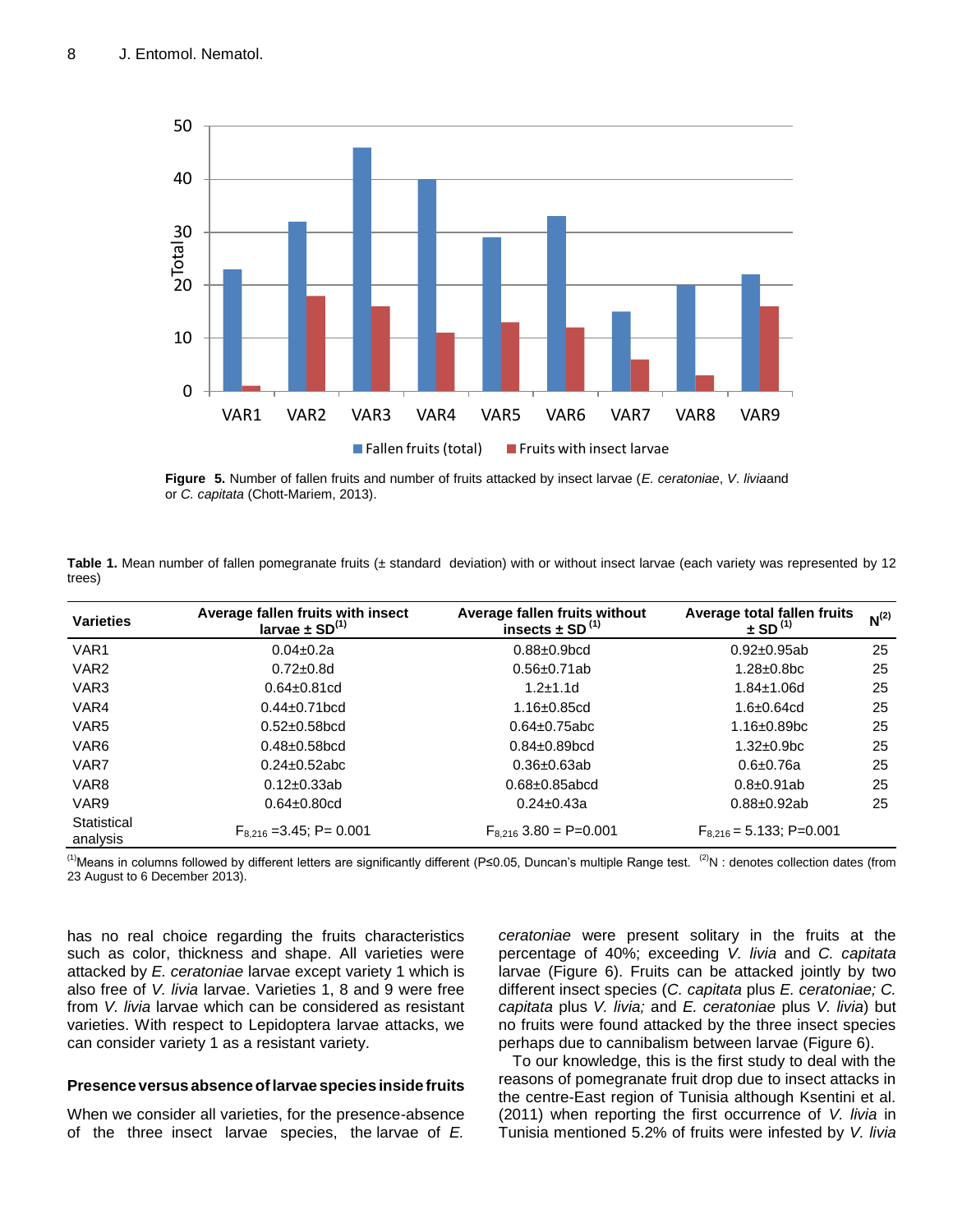

**Figure 5.** Number of fallen fruits and number of fruits attacked by insect larvae (*E. ceratoniae*, *V*. *livia*and or *C. capitata* (Chott-Mariem, 2013).

**Table 1.** Mean number of fallen pomegranate fruits (± standard deviation) with or without insect larvae (each variety was represented by 12 trees)

| <b>Varieties</b>        | Average fallen fruits with insect<br>larvae $\pm$ SD <sup>(1)</sup> | Average fallen fruits without<br>insects $\pm$ SD <sup>(1)</sup> | Average total fallen fruits<br>$\pm$ SD <sup>(1)</sup> | $N^{(2)}$ |
|-------------------------|---------------------------------------------------------------------|------------------------------------------------------------------|--------------------------------------------------------|-----------|
| VAR <sub>1</sub>        | $0.04 \pm 0.2a$                                                     | $0.88 + 0.9$ <sub>bcd</sub>                                      | $0.92 \pm 0.95$ ab                                     | 25        |
| VAR <sub>2</sub>        | $0.72 \pm 0.8$ d                                                    | $0.56 \pm 0.71$ ab                                               | $1.28 \pm 0.8$ bc                                      | 25        |
| VAR <sub>3</sub>        | $0.64 \pm 0.81$ cd                                                  | $1.2 + 1.1d$                                                     | $1.84 \pm 1.06$ d                                      | 25        |
| VAR4                    | $0.44 \pm 0.71$ bcd                                                 | $1.16 \pm 0.85$ cd                                               | $1.6 + 0.64$ cd                                        | 25        |
| VAR <sub>5</sub>        | $0.52 \pm 0.58$ bcd                                                 | $0.64 \pm 0.75$ abc                                              | $1.16 \pm 0.89$ bc                                     | 25        |
| VAR <sub>6</sub>        | $0.48 + 0.58$ bcd                                                   | $0.84 \pm 0.89$ bcd                                              | $1.32 \pm 0.9$ bc                                      | 25        |
| VAR7                    | $0.24 \pm 0.52$ abc                                                 | $0.36 \pm 0.63$ ab                                               | $0.6 + 0.76a$                                          | 25        |
| VAR <sub>8</sub>        | $0.12 \pm 0.33$ ab                                                  | $0.68 + 0.85$ abcd                                               | $0.8 \pm 0.91$ ab                                      | 25        |
| VAR <sub>9</sub>        | $0.64 \pm 0.80$ cd                                                  | $0.24 \pm 0.43a$                                                 | $0.88 + 0.92ab$                                        | 25        |
| Statistical<br>analysis | $F_{8,216}$ = 3.45; P = 0.001                                       | $F_{8,216}$ 3.80 = P=0.001                                       | $F_{8,216} = 5.133$ ; P=0.001                          |           |

(1)Means in columns followed by different letters are significantly different (P≤0.05, Duncan's multiple Range test.  $^{(2)}N$ : denotes collection dates (from 23 August to 6 December 2013).

has no real choice regarding the fruits characteristics such as color, thickness and shape. All varieties were attacked by *E. ceratoniae* larvae except variety 1 which is also free of *V. livia* larvae. Varieties 1, 8 and 9 were free from *V. livia* larvae which can be considered as resistant varieties. With respect to Lepidoptera larvae attacks, we can consider variety 1 as a resistant variety.

## **Presence versus absence oflarvae species inside fruits**

When we consider all varieties, for the presence-absence of the three insect larvae species, the larvae of *E.*

*ceratoniae* were present solitary in the fruits at the percentage of 40%; exceeding *V. livia* and *C. capitata* larvae (Figure 6). Fruits can be attacked jointly by two different insect species (*C. capitata* plus *E. ceratoniae; C. capitata* plus *V. livia;* and *E. ceratoniae* plus *V. livia*) but no fruits were found attacked by the three insect species perhaps due to cannibalism between larvae (Figure 6).

To our knowledge, this is the first study to deal with the reasons of pomegranate fruit drop due to insect attacks in the centre-East region of Tunisia although Ksentini et al. (2011) when reporting the first occurrence of *V. livia* in Tunisia mentioned 5.2% of fruits were infested by *V. livia*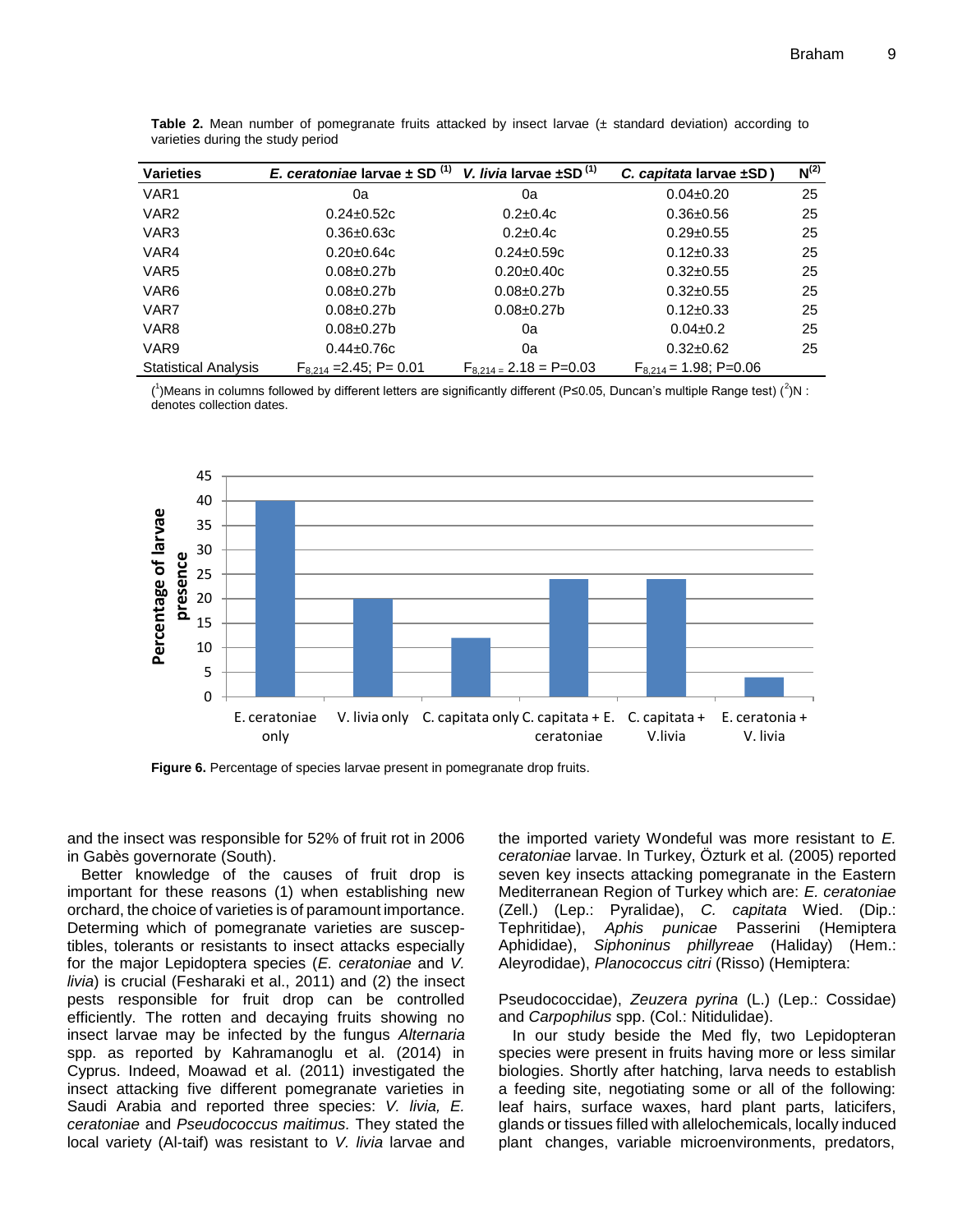| <b>Varieties</b>            | E. ceratoniae larvae $\pm$ SD <sup>(1)</sup> | V. livia larvae $\pm$ SD <sup>(1)</sup> | C. capitata larvae $\pm$ SD) | $N^{(2)}$ |
|-----------------------------|----------------------------------------------|-----------------------------------------|------------------------------|-----------|
| VAR <sub>1</sub>            | 0a                                           | 0a                                      | $0.04 \pm 0.20$              | 25        |
| VAR <sub>2</sub>            | $0.24 \pm 0.52c$                             | $0.2 \pm 0.4c$                          | $0.36 \pm 0.56$              | 25        |
| VAR <sub>3</sub>            | $0.36 \pm 0.63c$                             | $0.2 \pm 0.4c$                          | $0.29 \pm 0.55$              | 25        |
| VAR4                        | $0.20 \pm 0.64$ c                            | $0.24 \pm 0.59c$                        | $0.12 \pm 0.33$              | 25        |
| VAR <sub>5</sub>            | $0.08 + 0.27$ b                              | $0.20 \pm 0.40c$                        | $0.32 \pm 0.55$              | 25        |
| VAR <sub>6</sub>            | $0.08 + 0.27$ b                              | $0.08 + 0.27$ b                         | $0.32 \pm 0.55$              | 25        |
| VAR7                        | $0.08 + 0.27$ b                              | $0.08 + 0.27$ b                         | $0.12 \pm 0.33$              | 25        |
| VAR <sub>8</sub>            | $0.08 \pm 0.27$ b                            | 0a                                      | $0.04 \pm 0.2$               | 25        |
| VAR9                        | $0.44 \pm 0.76c$                             | 0a                                      | $0.32 \pm 0.62$              | 25        |
| <b>Statistical Analysis</b> | $F_{8,214}$ = 2.45; P = 0.01                 | $F_{8,214} = 2.18 = P = 0.03$           | $F_{8,214} = 1.98$ ; P=0.06  |           |

**Table 2.** Mean number of pomegranate fruits attacked by insect larvae (± standard deviation) according to varieties during the study period

(<sup>1</sup>)Means in columns followed by different letters are significantly different (P≤0.05, Duncan's multiple Range test) (<sup>2</sup>)N : denotes collection dates.



**Figure 6.** Percentage of species larvae present in pomegranate drop fruits.

and the insect was responsible for 52% of fruit rot in 2006 in Gabès governorate (South).

Better knowledge of the causes of fruit drop is important for these reasons (1) when establishing new orchard, the choice of varieties is of paramount importance. Determing which of pomegranate varieties are susceptibles, tolerants or resistants to insect attacks especially for the major Lepidoptera species (*E. ceratoniae* and *V. livia*) is crucial (Fesharaki et al., 2011) and (2) the insect pests responsible for fruit drop can be controlled efficiently. The rotten and decaying fruits showing no insect larvae may be infected by the fungus *Alternaria*  spp. as reported by Kahramanoglu et al. (2014) in Cyprus. Indeed, Moawad et al. (2011) investigated the insect attacking five different pomegranate varieties in Saudi Arabia and reported three species: *V. livia, E. ceratoniae* and *Pseudococcus maitimus.* They stated the local variety (Al-taif) was resistant to *V. livia* larvae and the imported variety Wondeful was more resistant to *E. ceratoniae* larvae. In Turkey, Özturk et al*.* (2005) reported seven key insects attacking pomegranate in the Eastern Mediterranean Region of Turkey which are: *E. ceratoniae* (Zell.) (Lep.: Pyralidae), *C. capitata* Wied. (Dip.: Tephritidae), *Aphis punicae* Passerini (Hemiptera Aphididae), *Siphoninus phillyreae* (Haliday) (Hem.: Aleyrodidae), *Planococcus citri* (Risso) (Hemiptera:

Pseudococcidae), *Zeuzera pyrina* (L.) (Lep.: Cossidae) and *Carpophilus* spp. (Col.: Nitidulidae).

In our study beside the Med fly, two Lepidopteran species were present in fruits having more or less similar biologies. Shortly after hatching, larva needs to establish a feeding site, negotiating some or all of the following: leaf hairs, surface waxes, hard plant parts, laticifers, glands or tissues filled with allelochemicals, locally induced plant changes, variable microenvironments, predators,